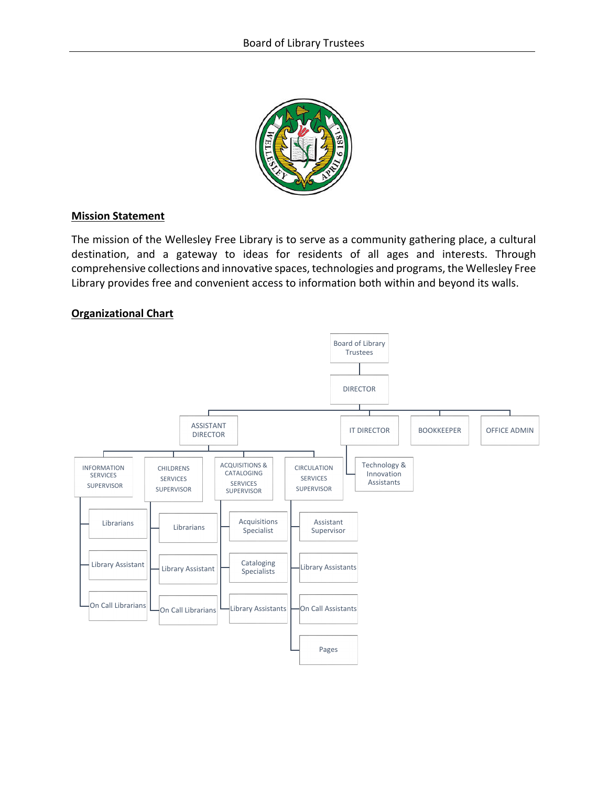

### **Mission Statement**

The mission of the Wellesley Free Library is to serve as a community gathering place, a cultural destination, and a gateway to ideas for residents of all ages and interests. Through comprehensive collections and innovative spaces, technologies and programs, the Wellesley Free Library provides free and convenient access to information both within and beyond its walls.

### **Organizational Chart**

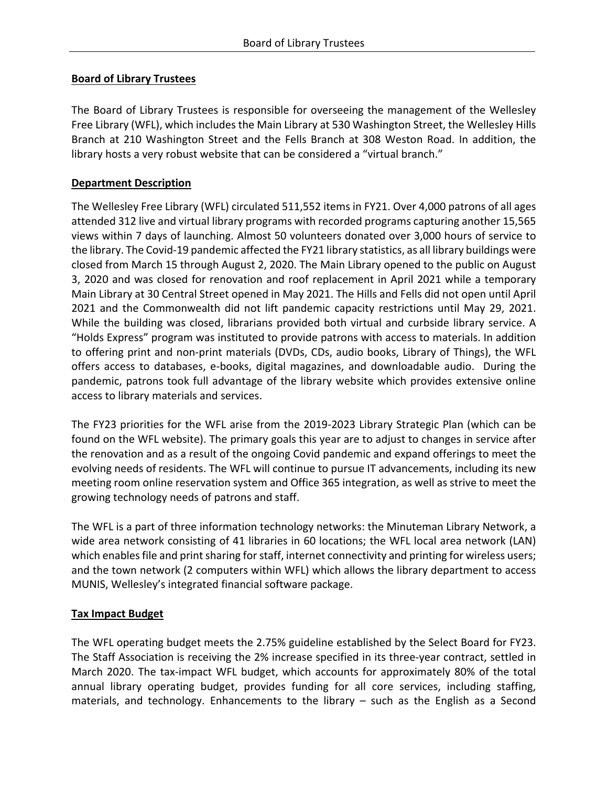# **Board of Library Trustees**

The Board of Library Trustees is responsible for overseeing the management of the Wellesley Free Library (WFL), which includes the Main Library at 530 Washington Street, the Wellesley Hills Branch at 210 Washington Street and the Fells Branch at 308 Weston Road. In addition, the library hosts a very robust website that can be considered a "virtual branch."

# **Department Description**

The Wellesley Free Library (WFL) circulated 511,552 items in FY21. Over 4,000 patrons of all ages attended 312 live and virtual library programs with recorded programs capturing another 15,565 views within 7 days of launching. Almost 50 volunteers donated over 3,000 hours of service to the library. The Covid-19 pandemic affected the FY21 library statistics, as all library buildings were closed from March 15 through August 2, 2020. The Main Library opened to the public on August 3, 2020 and was closed for renovation and roof replacement in April 2021 while a temporary Main Library at 30 Central Street opened in May 2021. The Hills and Fells did not open until April 2021 and the Commonwealth did not lift pandemic capacity restrictions until May 29, 2021. While the building was closed, librarians provided both virtual and curbside library service. A "Holds Express" program was instituted to provide patrons with access to materials. In addition to offering print and non-print materials (DVDs, CDs, audio books, Library of Things), the WFL offers access to databases, e-books, digital magazines, and downloadable audio. During the pandemic, patrons took full advantage of the library website which provides extensive online access to library materials and services.

The FY23 priorities for the WFL arise from the 2019-2023 Library Strategic Plan (which can be found on the WFL website). The primary goals this year are to adjust to changes in service after the renovation and as a result of the ongoing Covid pandemic and expand offerings to meet the evolving needs of residents. The WFL will continue to pursue IT advancements, including its new meeting room online reservation system and Office 365 integration, as well as strive to meet the growing technology needs of patrons and staff.

The WFL is a part of three information technology networks: the Minuteman Library Network, a wide area network consisting of 41 libraries in 60 locations; the WFL local area network (LAN) which enables file and print sharing for staff, internet connectivity and printing for wireless users; and the town network (2 computers within WFL) which allows the library department to access MUNIS, Wellesley's integrated financial software package.

## **Tax Impact Budget**

The WFL operating budget meets the 2.75% guideline established by the Select Board for FY23. The Staff Association is receiving the 2% increase specified in its three-year contract, settled in March 2020. The tax-impact WFL budget, which accounts for approximately 80% of the total annual library operating budget, provides funding for all core services, including staffing, materials, and technology. Enhancements to the library – such as the English as a Second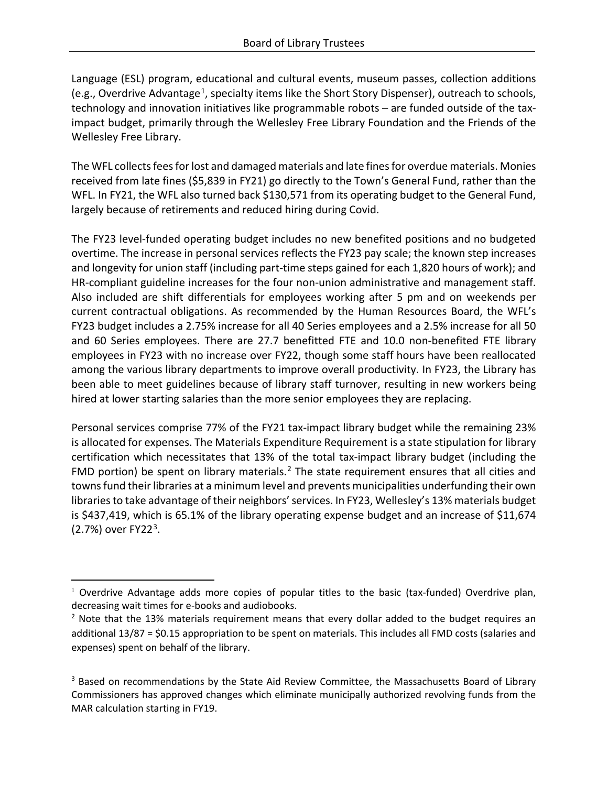Language (ESL) program, educational and cultural events, museum passes, collection additions (e.g., Overdrive Advantage<sup>1</sup>, specialty items like the Short Story Dispenser), outreach to schools, technology and innovation initiatives like programmable robots – are funded outside of the taximpact budget, primarily through the Wellesley Free Library Foundation and the Friends of the Wellesley Free Library.

The WFL collects fees for lost and damaged materials and late fines for overdue materials. Monies received from late fines (\$5,839 in FY21) go directly to the Town's General Fund, rather than the WFL. In FY21, the WFL also turned back \$130,571 from its operating budget to the General Fund, largely because of retirements and reduced hiring during Covid.

The FY23 level-funded operating budget includes no new benefited positions and no budgeted overtime. The increase in personal services reflects the FY23 pay scale; the known step increases and longevity for union staff (including part-time steps gained for each 1,820 hours of work); and HR-compliant guideline increases for the four non-union administrative and management staff. Also included are shift differentials for employees working after 5 pm and on weekends per current contractual obligations. As recommended by the Human Resources Board, the WFL's FY23 budget includes a 2.75% increase for all 40 Series employees and a 2.5% increase for all 50 and 60 Series employees. There are 27.7 benefitted FTE and 10.0 non-benefited FTE library employees in FY23 with no increase over FY22, though some staff hours have been reallocated among the various library departments to improve overall productivity. In FY23, the Library has been able to meet guidelines because of library staff turnover, resulting in new workers being hired at lower starting salaries than the more senior employees they are replacing.

Personal services comprise 77% of the FY21 tax-impact library budget while the remaining 23% is allocated for expenses. The Materials Expenditure Requirement is a state stipulation for library certification which necessitates that 13% of the total tax-impact library budget (including the FMD portion) be spent on library materials.<sup>[2](#page-2-1)</sup> The state requirement ensures that all cities and towns fund their libraries at a minimum level and prevents municipalities underfunding their own libraries to take advantage of their neighbors' services. In FY23, Wellesley's 13% materials budget is \$437,419, which is 65.1% of the library operating expense budget and an increase of \$11,674 (2.7%) over FY22[3](#page-2-2).

<span id="page-2-0"></span> $1$  Overdrive Advantage adds more copies of popular titles to the basic (tax-funded) Overdrive plan, decreasing wait times for e-books and audiobooks.

<span id="page-2-1"></span> $<sup>2</sup>$  Note that the 13% materials requirement means that every dollar added to the budget requires an</sup> additional 13/87 = \$0.15 appropriation to be spent on materials. This includes all FMD costs (salaries and expenses) spent on behalf of the library.

<span id="page-2-2"></span><sup>&</sup>lt;sup>3</sup> Based on recommendations by the State Aid Review Committee, the Massachusetts Board of Library Commissioners has approved changes which eliminate municipally authorized revolving funds from the MAR calculation starting in FY19.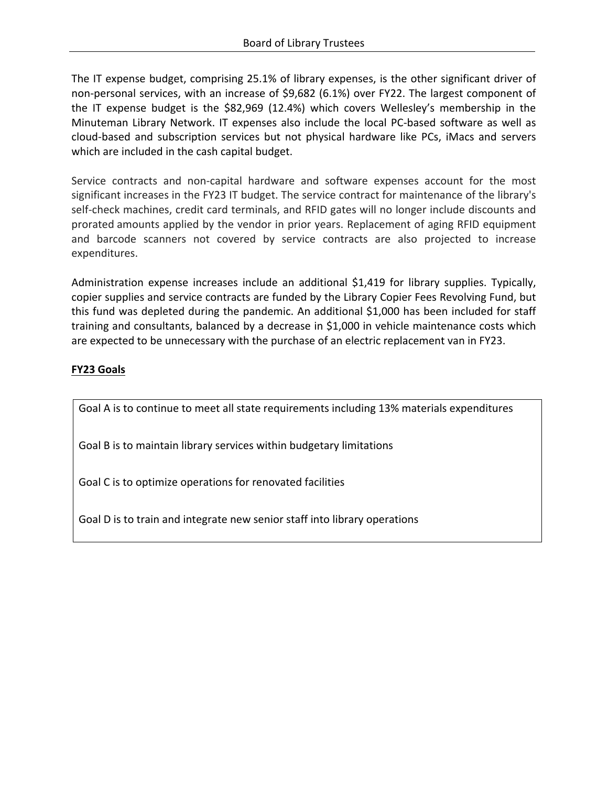The IT expense budget, comprising 25.1% of library expenses, is the other significant driver of non-personal services, with an increase of \$9,682 (6.1%) over FY22. The largest component of the IT expense budget is the \$82,969 (12.4%) which covers Wellesley's membership in the Minuteman Library Network. IT expenses also include the local PC-based software as well as cloud-based and subscription services but not physical hardware like PCs, iMacs and servers which are included in the cash capital budget.

Service contracts and non-capital hardware and software expenses account for the most significant increases in the FY23 IT budget. The service contract for maintenance of the library's self-check machines, credit card terminals, and RFID gates will no longer include discounts and prorated amounts applied by the vendor in prior years. Replacement of aging RFID equipment and barcode scanners not covered by service contracts are also projected to increase expenditures.

Administration expense increases include an additional \$1,419 for library supplies. Typically, copier supplies and service contracts are funded by the Library Copier Fees Revolving Fund, but this fund was depleted during the pandemic. An additional \$1,000 has been included for staff training and consultants, balanced by a decrease in \$1,000 in vehicle maintenance costs which are expected to be unnecessary with the purchase of an electric replacement van in FY23.

# **FY23 Goals**

Goal A is to continue to meet all state requirements including 13% materials expenditures

Goal B is to maintain library services within budgetary limitations

Goal C is to optimize operations for renovated facilities

Goal D is to train and integrate new senior staff into library operations